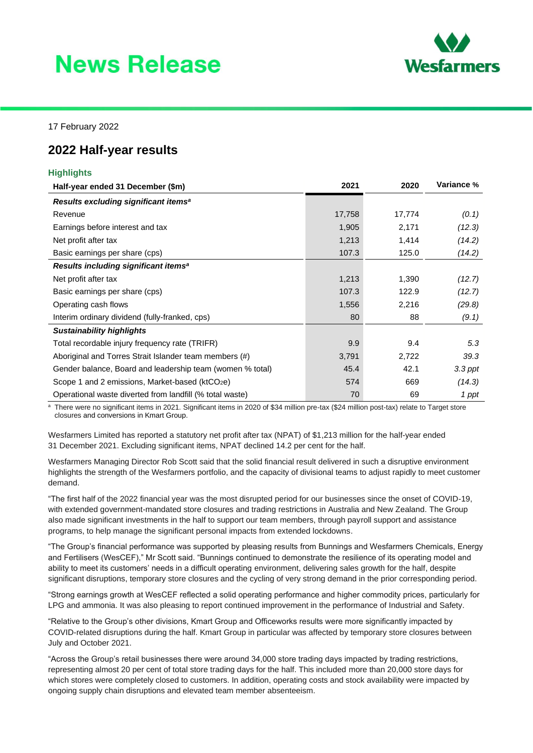# **News Release**



17 February 2022

## **2022 Half-year results**

### **Highlights**

| Half-year ended 31 December (\$m)                           | 2021   | 2020   | <b>Variance %</b> |
|-------------------------------------------------------------|--------|--------|-------------------|
| Results excluding significant items <sup>a</sup>            |        |        |                   |
| Revenue                                                     | 17,758 | 17,774 | (0.1)             |
| Earnings before interest and tax                            | 1,905  | 2,171  | (12.3)            |
| Net profit after tax                                        | 1,213  | 1,414  | (14.2)            |
| Basic earnings per share (cps)                              | 107.3  | 125.0  | (14.2)            |
| Results including significant items <sup>a</sup>            |        |        |                   |
| Net profit after tax                                        | 1,213  | 1,390  | (12.7)            |
| Basic earnings per share (cps)                              | 107.3  | 122.9  | (12.7)            |
| Operating cash flows                                        | 1,556  | 2,216  | (29.8)            |
| Interim ordinary dividend (fully-franked, cps)              | 80     | 88     | (9.1)             |
| <b>Sustainability highlights</b>                            |        |        |                   |
| Total recordable injury frequency rate (TRIFR)              | 9.9    | 9.4    | 5.3               |
| Aboriginal and Torres Strait Islander team members (#)      | 3,791  | 2,722  | 39.3              |
| Gender balance, Board and leadership team (women % total)   | 45.4   | 42.1   | 3.3 ppt           |
| Scope 1 and 2 emissions, Market-based (ktCO <sub>2</sub> e) | 574    | 669    | (14.3)            |
| Operational waste diverted from landfill (% total waste)    | 70     | 69     | 1 ppt             |

<sup>a</sup> There were no significant items in 2021. Significant items in 2020 of \$34 million pre-tax (\$24 million post-tax) relate to Target store closures and conversions in Kmart Group.

Wesfarmers Limited has reported a statutory net profit after tax (NPAT) of \$1,213 million for the half-year ended 31 December 2021. Excluding significant items, NPAT declined 14.2 per cent for the half.

Wesfarmers Managing Director Rob Scott said that the solid financial result delivered in such a disruptive environment highlights the strength of the Wesfarmers portfolio, and the capacity of divisional teams to adjust rapidly to meet customer demand.

"The first half of the 2022 financial year was the most disrupted period for our businesses since the onset of COVID-19, with extended government-mandated store closures and trading restrictions in Australia and New Zealand. The Group also made significant investments in the half to support our team members, through payroll support and assistance programs, to help manage the significant personal impacts from extended lockdowns.

"The Group's financial performance was supported by pleasing results from Bunnings and Wesfarmers Chemicals, Energy and Fertilisers (WesCEF)," Mr Scott said. "Bunnings continued to demonstrate the resilience of its operating model and ability to meet its customers' needs in a difficult operating environment, delivering sales growth for the half, despite significant disruptions, temporary store closures and the cycling of very strong demand in the prior corresponding period.

"Strong earnings growth at WesCEF reflected a solid operating performance and higher commodity prices, particularly for LPG and ammonia. It was also pleasing to report continued improvement in the performance of Industrial and Safety.

"Relative to the Group's other divisions, Kmart Group and Officeworks results were more significantly impacted by COVID-related disruptions during the half. Kmart Group in particular was affected by temporary store closures between July and October 2021.

"Across the Group's retail businesses there were around 34,000 store trading days impacted by trading restrictions, representing almost 20 per cent of total store trading days for the half. This included more than 20,000 store days for which stores were completely closed to customers. In addition, operating costs and stock availability were impacted by ongoing supply chain disruptions and elevated team member absenteeism.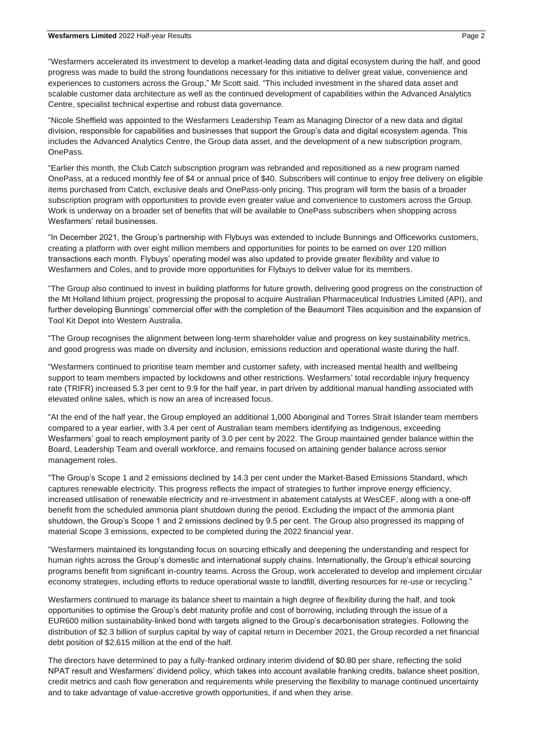"Wesfarmers accelerated its investment to develop a market-leading data and digital ecosystem during the half, and good progress was made to build the strong foundations necessary for this initiative to deliver great value, convenience and experiences to customers across the Group," Mr Scott said. "This included investment in the shared data asset and scalable customer data architecture as well as the continued development of capabilities within the Advanced Analytics Centre, specialist technical expertise and robust data governance.

"Nicole Sheffield was appointed to the Wesfarmers Leadership Team as Managing Director of a new data and digital division, responsible for capabilities and businesses that support the Group's data and digital ecosystem agenda. This includes the Advanced Analytics Centre, the Group data asset, and the development of a new subscription program, OnePass.

"Earlier this month, the Club Catch subscription program was rebranded and repositioned as a new program named OnePass, at a reduced monthly fee of \$4 or annual price of \$40. Subscribers will continue to enjoy free delivery on eligible items purchased from Catch, exclusive deals and OnePass-only pricing. This program will form the basis of a broader subscription program with opportunities to provide even greater value and convenience to customers across the Group. Work is underway on a broader set of benefits that will be available to OnePass subscribers when shopping across Wesfarmers' retail businesses.

"In December 2021, the Group's partnership with Flybuys was extended to include Bunnings and Officeworks customers, creating a platform with over eight million members and opportunities for points to be earned on over 120 million transactions each month. Flybuys' operating model was also updated to provide greater flexibility and value to Wesfarmers and Coles, and to provide more opportunities for Flybuys to deliver value for its members.

"The Group also continued to invest in building platforms for future growth, delivering good progress on the construction of the Mt Holland lithium project, progressing the proposal to acquire Australian Pharmaceutical Industries Limited (API), and further developing Bunnings' commercial offer with the completion of the Beaumont Tiles acquisition and the expansion of Tool Kit Depot into Western Australia.

"The Group recognises the alignment between long-term shareholder value and progress on key sustainability metrics, and good progress was made on diversity and inclusion, emissions reduction and operational waste during the half.

"Wesfarmers continued to prioritise team member and customer safety, with increased mental health and wellbeing support to team members impacted by lockdowns and other restrictions. Wesfarmers' total recordable injury frequency rate (TRIFR) increased 5.3 per cent to 9.9 for the half year, in part driven by additional manual handling associated with elevated online sales, which is now an area of increased focus.

"At the end of the half year, the Group employed an additional 1,000 Aboriginal and Torres Strait Islander team members compared to a year earlier, with 3.4 per cent of Australian team members identifying as Indigenous, exceeding Wesfarmers' goal to reach employment parity of 3.0 per cent by 2022. The Group maintained gender balance within the Board, Leadership Team and overall workforce, and remains focused on attaining gender balance across senior management roles.

"The Group's Scope 1 and 2 emissions declined by 14.3 per cent under the Market-Based Emissions Standard, which captures renewable electricity. This progress reflects the impact of strategies to further improve energy efficiency, increased utilisation of renewable electricity and re-investment in abatement catalysts at WesCEF, along with a one-off benefit from the scheduled ammonia plant shutdown during the period. Excluding the impact of the ammonia plant shutdown, the Group's Scope 1 and 2 emissions declined by 9.5 per cent. The Group also progressed its mapping of material Scope 3 emissions, expected to be completed during the 2022 financial year.

"Wesfarmers maintained its longstanding focus on sourcing ethically and deepening the understanding and respect for human rights across the Group's domestic and international supply chains. Internationally, the Group's ethical sourcing programs benefit from significant in-country teams. Across the Group, work accelerated to develop and implement circular economy strategies, including efforts to reduce operational waste to landfill, diverting resources for re-use or recycling."

Wesfarmers continued to manage its balance sheet to maintain a high degree of flexibility during the half, and took opportunities to optimise the Group's debt maturity profile and cost of borrowing, including through the issue of a EUR600 million sustainability-linked bond with targets aligned to the Group's decarbonisation strategies. Following the distribution of \$2.3 billion of surplus capital by way of capital return in December 2021, the Group recorded a net financial debt position of \$2,615 million at the end of the half.

The directors have determined to pay a fully-franked ordinary interim dividend of \$0.80 per share, reflecting the solid NPAT result and Wesfarmers' dividend policy, which takes into account available franking credits, balance sheet position, credit metrics and cash flow generation and requirements while preserving the flexibility to manage continued uncertainty and to take advantage of value-accretive growth opportunities, if and when they arise.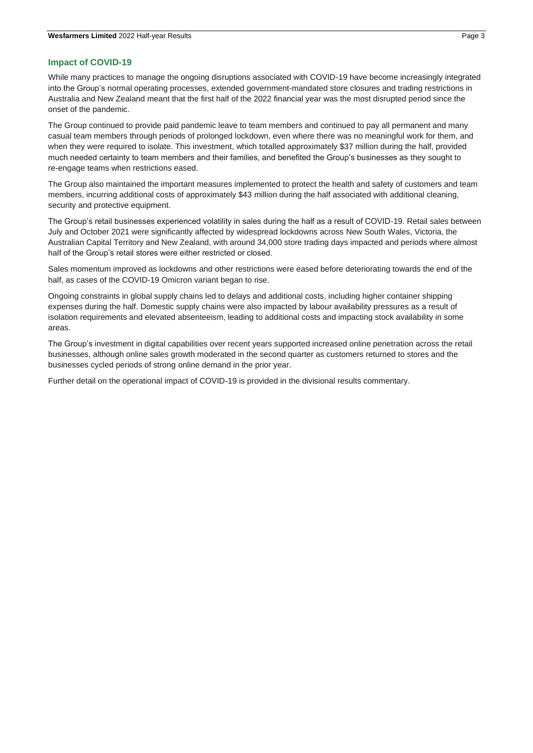#### **Impact of COVID-19**

While many practices to manage the ongoing disruptions associated with COVID-19 have become increasingly integrated into the Group's normal operating processes, extended government-mandated store closures and trading restrictions in Australia and New Zealand meant that the first half of the 2022 financial year was the most disrupted period since the onset of the pandemic.

The Group continued to provide paid pandemic leave to team members and continued to pay all permanent and many casual team members through periods of prolonged lockdown, even where there was no meaningful work for them, and when they were required to isolate. This investment, which totalled approximately \$37 million during the half, provided much needed certainty to team members and their families, and benefited the Group's businesses as they sought to re-engage teams when restrictions eased.

The Group also maintained the important measures implemented to protect the health and safety of customers and team members, incurring additional costs of approximately \$43 million during the half associated with additional cleaning, security and protective equipment.

The Group's retail businesses experienced volatility in sales during the half as a result of COVID-19. Retail sales between July and October 2021 were significantly affected by widespread lockdowns across New South Wales, Victoria, the Australian Capital Territory and New Zealand, with around 34,000 store trading days impacted and periods where almost half of the Group's retail stores were either restricted or closed.

Sales momentum improved as lockdowns and other restrictions were eased before deteriorating towards the end of the half, as cases of the COVID-19 Omicron variant began to rise.

Ongoing constraints in global supply chains led to delays and additional costs, including higher container shipping expenses during the half. Domestic supply chains were also impacted by labour availability pressures as a result of isolation requirements and elevated absenteeism, leading to additional costs and impacting stock availability in some areas.

The Group's investment in digital capabilities over recent years supported increased online penetration across the retail businesses, although online sales growth moderated in the second quarter as customers returned to stores and the businesses cycled periods of strong online demand in the prior year.

Further detail on the operational impact of COVID-19 is provided in the divisional results commentary.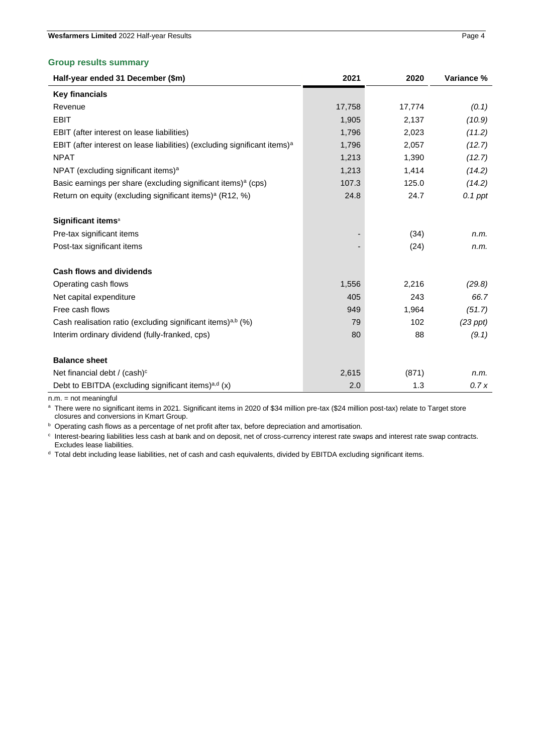#### **Group results summary**

| Half-year ended 31 December (\$m)                                                     | 2021   | 2020   | Variance %    |
|---------------------------------------------------------------------------------------|--------|--------|---------------|
| <b>Key financials</b>                                                                 |        |        |               |
| Revenue                                                                               | 17,758 | 17,774 | (0.1)         |
| <b>EBIT</b>                                                                           | 1,905  | 2,137  | (10.9)        |
| EBIT (after interest on lease liabilities)                                            | 1,796  | 2,023  | (11.2)        |
| EBIT (after interest on lease liabilities) (excluding significant items) <sup>a</sup> | 1,796  | 2,057  | (12.7)        |
| <b>NPAT</b>                                                                           | 1,213  | 1,390  | (12.7)        |
| NPAT (excluding significant items) <sup>a</sup>                                       | 1,213  | 1,414  | (14.2)        |
| Basic earnings per share (excluding significant items) <sup>a</sup> (cps)             | 107.3  | 125.0  | (14.2)        |
| Return on equity (excluding significant items) <sup>a</sup> (R12, %)                  | 24.8   | 24.7   | $0.1$ ppt     |
| Significant items <sup>a</sup>                                                        |        |        |               |
| Pre-tax significant items                                                             |        | (34)   | n.m.          |
| Post-tax significant items                                                            |        | (24)   | n.m.          |
| <b>Cash flows and dividends</b>                                                       |        |        |               |
| Operating cash flows                                                                  | 1,556  | 2,216  | (29.8)        |
| Net capital expenditure                                                               | 405    | 243    | 66.7          |
| Free cash flows                                                                       | 949    | 1,964  | (51.7)        |
| Cash realisation ratio (excluding significant items) <sup>a,b</sup> (%)               | 79     | 102    | $(23$ ppt $)$ |
| Interim ordinary dividend (fully-franked, cps)                                        | 80     | 88     | (9.1)         |
| <b>Balance sheet</b>                                                                  |        |        |               |
| Net financial debt / (cash) <sup>c</sup>                                              | 2,615  | (871)  | n.m.          |
| Debt to EBITDA (excluding significant items) <sup>a,d</sup> (x)                       | 2.0    | 1.3    | 0.7x          |

n.m. = not meaningful

a There were no significant items in 2021. Significant items in 2020 of \$34 million pre-tax (\$24 million post-tax) relate to Target store closures and conversions in Kmart Group.

**b** Operating cash flows as a percentage of net profit after tax, before depreciation and amortisation.

c Interest-bearing liabilities less cash at bank and on deposit, net of cross-currency interest rate swaps and interest rate swap contracts. Excludes lease liabilities.

<sup>d</sup> Total debt including lease liabilities, net of cash and cash equivalents, divided by EBITDA excluding significant items.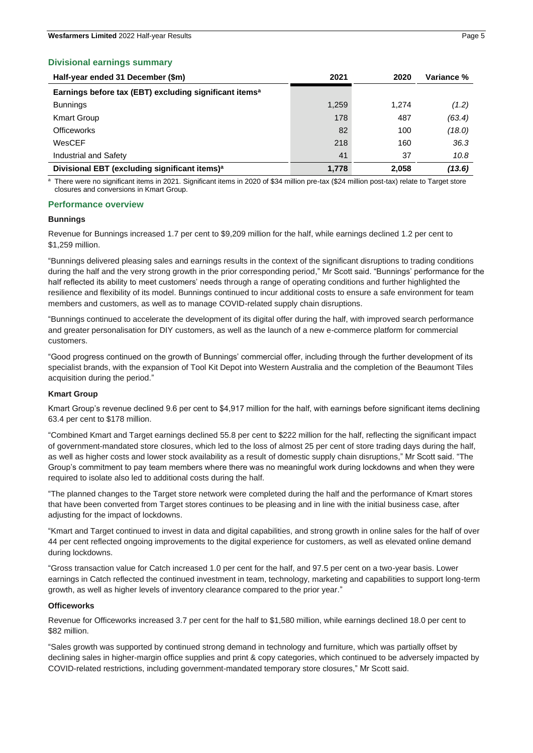#### **Divisional earnings summary**

| Half-year ended 31 December (\$m)                                  | 2021  | 2020  | Variance % |
|--------------------------------------------------------------------|-------|-------|------------|
| Earnings before tax (EBT) excluding significant items <sup>a</sup> |       |       |            |
| <b>Bunnings</b>                                                    | 1,259 | 1.274 | (1.2)      |
| <b>Kmart Group</b>                                                 | 178   | 487   | (63.4)     |
| <b>Officeworks</b>                                                 | 82    | 100   | (18.0)     |
| WesCEF                                                             | 218   | 160   | 36.3       |
| Industrial and Safety                                              | 41    | 37    | 10.8       |
| Divisional EBT (excluding significant items) <sup>a</sup>          | 1,778 | 2.058 | (13.6)     |

a There were no significant items in 2021. Significant items in 2020 of \$34 million pre-tax (\$24 million post-tax) relate to Target store closures and conversions in Kmart Group.

#### **Performance overview**

#### **Bunnings**

Revenue for Bunnings increased 1.7 per cent to \$9,209 million for the half, while earnings declined 1.2 per cent to \$1,259 million.

"Bunnings delivered pleasing sales and earnings results in the context of the significant disruptions to trading conditions during the half and the very strong growth in the prior corresponding period," Mr Scott said. "Bunnings' performance for the half reflected its ability to meet customers' needs through a range of operating conditions and further highlighted the resilience and flexibility of its model. Bunnings continued to incur additional costs to ensure a safe environment for team members and customers, as well as to manage COVID-related supply chain disruptions.

"Bunnings continued to accelerate the development of its digital offer during the half, with improved search performance and greater personalisation for DIY customers, as well as the launch of a new e-commerce platform for commercial customers.

"Good progress continued on the growth of Bunnings' commercial offer, including through the further development of its specialist brands, with the expansion of Tool Kit Depot into Western Australia and the completion of the Beaumont Tiles acquisition during the period."

#### **Kmart Group**

Kmart Group's revenue declined 9.6 per cent to \$4,917 million for the half, with earnings before significant items declining 63.4 per cent to \$178 million.

"Combined Kmart and Target earnings declined 55.8 per cent to \$222 million for the half, reflecting the significant impact of government-mandated store closures, which led to the loss of almost 25 per cent of store trading days during the half, as well as higher costs and lower stock availability as a result of domestic supply chain disruptions," Mr Scott said. "The Group's commitment to pay team members where there was no meaningful work during lockdowns and when they were required to isolate also led to additional costs during the half.

"The planned changes to the Target store network were completed during the half and the performance of Kmart stores that have been converted from Target stores continues to be pleasing and in line with the initial business case, after adjusting for the impact of lockdowns.

"Kmart and Target continued to invest in data and digital capabilities, and strong growth in online sales for the half of over 44 per cent reflected ongoing improvements to the digital experience for customers, as well as elevated online demand during lockdowns.

"Gross transaction value for Catch increased 1.0 per cent for the half, and 97.5 per cent on a two-year basis. Lower earnings in Catch reflected the continued investment in team, technology, marketing and capabilities to support long-term growth, as well as higher levels of inventory clearance compared to the prior year."

#### **Officeworks**

Revenue for Officeworks increased 3.7 per cent for the half to \$1,580 million, while earnings declined 18.0 per cent to \$82 million.

"Sales growth was supported by continued strong demand in technology and furniture, which was partially offset by declining sales in higher-margin office supplies and print & copy categories, which continued to be adversely impacted by COVID-related restrictions, including government-mandated temporary store closures," Mr Scott said.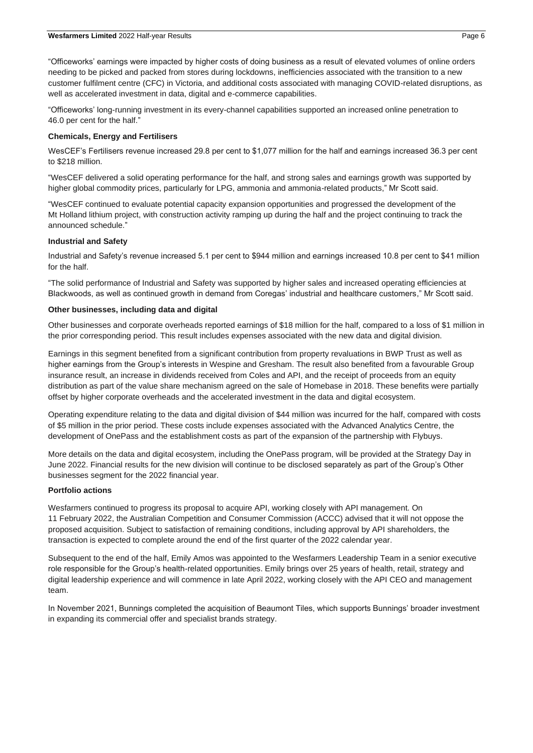"Officeworks' earnings were impacted by higher costs of doing business as a result of elevated volumes of online orders needing to be picked and packed from stores during lockdowns, inefficiencies associated with the transition to a new customer fulfilment centre (CFC) in Victoria, and additional costs associated with managing COVID-related disruptions, as well as accelerated investment in data, digital and e-commerce capabilities.

"Officeworks' long-running investment in its every-channel capabilities supported an increased online penetration to 46.0 per cent for the half."

#### **Chemicals, Energy and Fertilisers**

WesCEF's Fertilisers revenue increased 29.8 per cent to \$1,077 million for the half and earnings increased 36.3 per cent to \$218 million.

"WesCEF delivered a solid operating performance for the half, and strong sales and earnings growth was supported by higher global commodity prices, particularly for LPG, ammonia and ammonia-related products," Mr Scott said.

"WesCEF continued to evaluate potential capacity expansion opportunities and progressed the development of the Mt Holland lithium project, with construction activity ramping up during the half and the project continuing to track the announced schedule."

#### **Industrial and Safety**

Industrial and Safety's revenue increased 5.1 per cent to \$944 million and earnings increased 10.8 per cent to \$41 million for the half.

"The solid performance of Industrial and Safety was supported by higher sales and increased operating efficiencies at Blackwoods, as well as continued growth in demand from Coregas' industrial and healthcare customers," Mr Scott said.

#### **Other businesses, including data and digital**

Other businesses and corporate overheads reported earnings of \$18 million for the half, compared to a loss of \$1 million in the prior corresponding period. This result includes expenses associated with the new data and digital division.

Earnings in this segment benefited from a significant contribution from property revaluations in BWP Trust as well as higher earnings from the Group's interests in Wespine and Gresham. The result also benefited from a favourable Group insurance result, an increase in dividends received from Coles and API, and the receipt of proceeds from an equity distribution as part of the value share mechanism agreed on the sale of Homebase in 2018. These benefits were partially offset by higher corporate overheads and the accelerated investment in the data and digital ecosystem.

Operating expenditure relating to the data and digital division of \$44 million was incurred for the half, compared with costs of \$5 million in the prior period. These costs include expenses associated with the Advanced Analytics Centre, the development of OnePass and the establishment costs as part of the expansion of the partnership with Flybuys.

More details on the data and digital ecosystem, including the OnePass program, will be provided at the Strategy Day in June 2022. Financial results for the new division will continue to be disclosed separately as part of the Group's Other businesses segment for the 2022 financial year.

#### **Portfolio actions**

Wesfarmers continued to progress its proposal to acquire API, working closely with API management. On 11 February 2022, the Australian Competition and Consumer Commission (ACCC) advised that it will not oppose the proposed acquisition. Subject to satisfaction of remaining conditions, including approval by API shareholders, the transaction is expected to complete around the end of the first quarter of the 2022 calendar year.

Subsequent to the end of the half, Emily Amos was appointed to the Wesfarmers Leadership Team in a senior executive role responsible for the Group's health-related opportunities. Emily brings over 25 years of health, retail, strategy and digital leadership experience and will commence in late April 2022, working closely with the API CEO and management team.

In November 2021, Bunnings completed the acquisition of Beaumont Tiles, which supports Bunnings' broader investment in expanding its commercial offer and specialist brands strategy.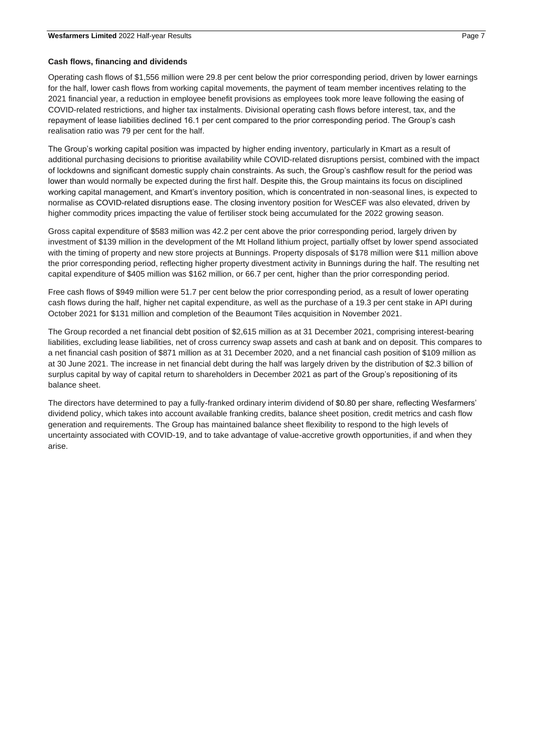#### **Cash flows, financing and dividends**

Operating cash flows of \$1,556 million were 29.8 per cent below the prior corresponding period, driven by lower earnings for the half, lower cash flows from working capital movements, the payment of team member incentives relating to the 2021 financial year, a reduction in employee benefit provisions as employees took more leave following the easing of COVID-related restrictions, and higher tax instalments. Divisional operating cash flows before interest, tax, and the repayment of lease liabilities declined 16.1 per cent compared to the prior corresponding period. The Group's cash realisation ratio was 79 per cent for the half.

The Group's working capital position was impacted by higher ending inventory, particularly in Kmart as a result of additional purchasing decisions to prioritise availability while COVID-related disruptions persist, combined with the impact of lockdowns and significant domestic supply chain constraints. As such, the Group's cashflow result for the period was lower than would normally be expected during the first half. Despite this, the Group maintains its focus on disciplined working capital management, and Kmart's inventory position, which is concentrated in non-seasonal lines, is expected to normalise as COVID-related disruptions ease. The closing inventory position for WesCEF was also elevated, driven by higher commodity prices impacting the value of fertiliser stock being accumulated for the 2022 growing season.

Gross capital expenditure of \$583 million was 42.2 per cent above the prior corresponding period, largely driven by investment of \$139 million in the development of the Mt Holland lithium project, partially offset by lower spend associated with the timing of property and new store projects at Bunnings. Property disposals of \$178 million were \$11 million above the prior corresponding period, reflecting higher property divestment activity in Bunnings during the half. The resulting net capital expenditure of \$405 million was \$162 million, or 66.7 per cent, higher than the prior corresponding period.

Free cash flows of \$949 million were 51.7 per cent below the prior corresponding period, as a result of lower operating cash flows during the half, higher net capital expenditure, as well as the purchase of a 19.3 per cent stake in API during October 2021 for \$131 million and completion of the Beaumont Tiles acquisition in November 2021.

The Group recorded a net financial debt position of \$2,615 million as at 31 December 2021, comprising interest-bearing liabilities, excluding lease liabilities, net of cross currency swap assets and cash at bank and on deposit. This compares to a net financial cash position of \$871 million as at 31 December 2020, and a net financial cash position of \$109 million as at 30 June 2021. The increase in net financial debt during the half was largely driven by the distribution of \$2.3 billion of surplus capital by way of capital return to shareholders in December 2021 as part of the Group's repositioning of its balance sheet.

The directors have determined to pay a fully-franked ordinary interim dividend of \$0.80 per share, reflecting Wesfarmers' dividend policy, which takes into account available franking credits, balance sheet position, credit metrics and cash flow generation and requirements. The Group has maintained balance sheet flexibility to respond to the high levels of uncertainty associated with COVID-19, and to take advantage of value-accretive growth opportunities, if and when they arise.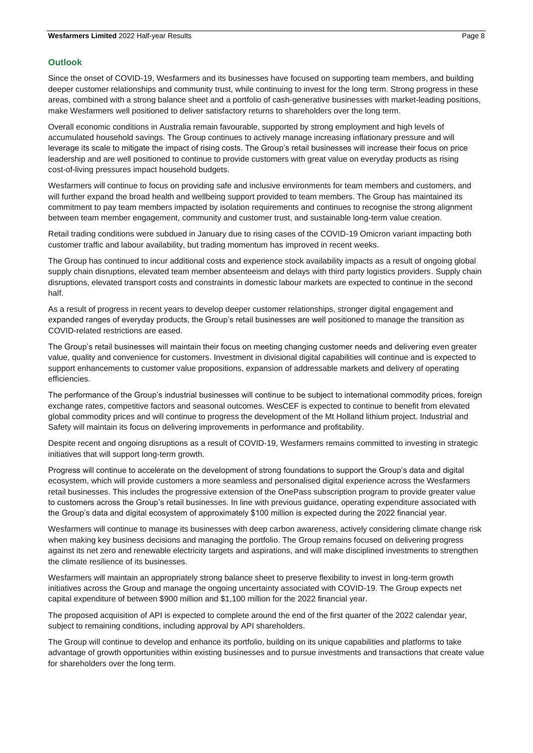#### **Outlook**

Since the onset of COVID-19, Wesfarmers and its businesses have focused on supporting team members, and building deeper customer relationships and community trust, while continuing to invest for the long term. Strong progress in these areas, combined with a strong balance sheet and a portfolio of cash-generative businesses with market-leading positions, make Wesfarmers well positioned to deliver satisfactory returns to shareholders over the long term.

Overall economic conditions in Australia remain favourable, supported by strong employment and high levels of accumulated household savings. The Group continues to actively manage increasing inflationary pressure and will leverage its scale to mitigate the impact of rising costs. The Group's retail businesses will increase their focus on price leadership and are well positioned to continue to provide customers with great value on everyday products as rising cost-of-living pressures impact household budgets.

Wesfarmers will continue to focus on providing safe and inclusive environments for team members and customers, and will further expand the broad health and wellbeing support provided to team members. The Group has maintained its commitment to pay team members impacted by isolation requirements and continues to recognise the strong alignment between team member engagement, community and customer trust, and sustainable long-term value creation.

Retail trading conditions were subdued in January due to rising cases of the COVID-19 Omicron variant impacting both customer traffic and labour availability, but trading momentum has improved in recent weeks.

The Group has continued to incur additional costs and experience stock availability impacts as a result of ongoing global supply chain disruptions, elevated team member absenteeism and delays with third party logistics providers. Supply chain disruptions, elevated transport costs and constraints in domestic labour markets are expected to continue in the second half.

As a result of progress in recent years to develop deeper customer relationships, stronger digital engagement and expanded ranges of everyday products, the Group's retail businesses are well positioned to manage the transition as COVID-related restrictions are eased.

The Group's retail businesses will maintain their focus on meeting changing customer needs and delivering even greater value, quality and convenience for customers. Investment in divisional digital capabilities will continue and is expected to support enhancements to customer value propositions, expansion of addressable markets and delivery of operating efficiencies.

The performance of the Group's industrial businesses will continue to be subject to international commodity prices, foreign exchange rates, competitive factors and seasonal outcomes. WesCEF is expected to continue to benefit from elevated global commodity prices and will continue to progress the development of the Mt Holland lithium project. Industrial and Safety will maintain its focus on delivering improvements in performance and profitability.

Despite recent and ongoing disruptions as a result of COVID-19, Wesfarmers remains committed to investing in strategic initiatives that will support long-term growth.

Progress will continue to accelerate on the development of strong foundations to support the Group's data and digital ecosystem, which will provide customers a more seamless and personalised digital experience across the Wesfarmers retail businesses. This includes the progressive extension of the OnePass subscription program to provide greater value to customers across the Group's retail businesses. In line with previous guidance, operating expenditure associated with the Group's data and digital ecosystem of approximately \$100 million is expected during the 2022 financial year.

Wesfarmers will continue to manage its businesses with deep carbon awareness, actively considering climate change risk when making key business decisions and managing the portfolio. The Group remains focused on delivering progress against its net zero and renewable electricity targets and aspirations, and will make disciplined investments to strengthen the climate resilience of its businesses.

Wesfarmers will maintain an appropriately strong balance sheet to preserve flexibility to invest in long-term growth initiatives across the Group and manage the ongoing uncertainty associated with COVID-19. The Group expects net capital expenditure of between \$900 million and \$1,100 million for the 2022 financial year.

The proposed acquisition of API is expected to complete around the end of the first quarter of the 2022 calendar year, subject to remaining conditions, including approval by API shareholders.

The Group will continue to develop and enhance its portfolio, building on its unique capabilities and platforms to take advantage of growth opportunities within existing businesses and to pursue investments and transactions that create value for shareholders over the long term.